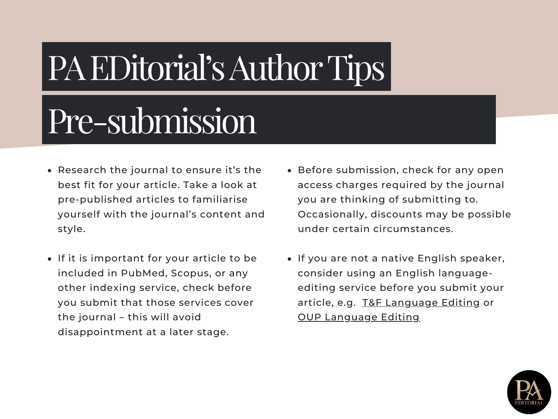#### Pre-submission

- Research the journal to ensure it's the best fit for your article. Take a look at pre-published articles to familiarise yourself with the journal's content and style.
- If it is important for your article to be included in PubMed, Scopus, or any other indexing service, check before you submit that those services cover the journal – this will avoid disappointment at a later stage.
- Before submission, check for any open access charges required by the journal you are thinking of submitting to. Occasionally, discounts may be possible under certain circumstances.
- **.** If you are not a native English speaker, consider using an English languageediting service before you submit your article, e.g. T&F [Language](https://www.tandfeditingservices.com/services/) Editing or OUP [Language](https://academic.oup.com/journals/pages/authors/preparing_your_manuscript/language_services) Editing

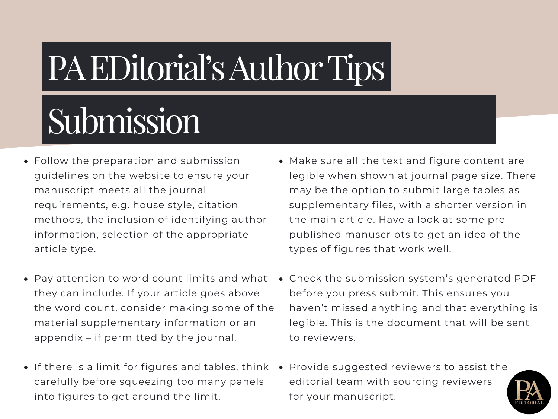# Submission

- Follow the preparation and submission guidelines on the website to ensure your manuscript meets all the journal requirements, e.g. house style, citation methods, the inclusion of identifying author information, selection of the appropriate article type.
- Pay attention to word count limits and what they can include. If your article goes above the word count, consider making some of the material supplementary information or an appendix – if permitted by the journal.
- If there is a limit for figures and tables, think carefully before squeezing too many panels into figures to get around the limit.
- Make sure all the text and figure content are legible when shown at journal page size. There may be the option to submit large tables as supplementary files, with a shorter version in the main article. Have a look at some prepublished manuscripts to get an idea of the types of figures that work well.
- Check the submission system's generated PDF before you press submit. This ensures you haven't missed anything and that everything is legible. This is the document that will be sent to reviewers.
- Provide suggested reviewers to assist the editorial team with sourcing reviewers. for your manuscript.

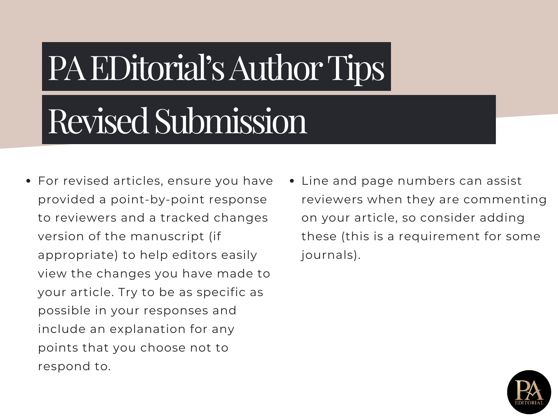#### Revised Submission

- For revised articles, ensure you have provided a point-by-point response to reviewers and a tracked changes version of the manuscript (if appropriate) to help editors easily view the changes you have made to your article. Try to be as specific as possible in your responses and include an explanation for any points that you choose not to respond to.
- Line and page numbers can assist reviewers when they are commenting on your article, so consider adding these (this is a requirement for some journals).